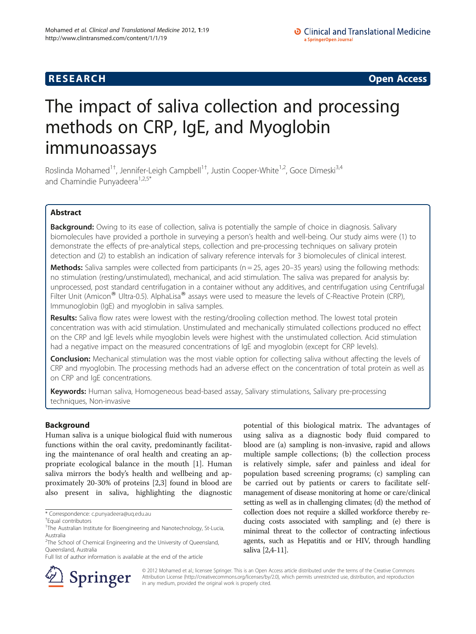# **RESEARCH RESEARCH CONSUMING ACCESS**

# The impact of saliva collection and processing methods on CRP, IgE, and Myoglobin immunoassays

Roslinda Mohamed<sup>1†</sup>, Jennifer-Leigh Campbell<sup>1†</sup>, Justin Cooper-White<sup>1,2</sup>, Goce Dimeski<sup>3,4</sup> and Chamindie Punyadeera<sup>1,2,5\*</sup>

# Abstract

Background: Owing to its ease of collection, saliva is potentially the sample of choice in diagnosis. Salivary biomolecules have provided a porthole in surveying a person's health and well-being. Our study aims were (1) to demonstrate the effects of pre-analytical steps, collection and pre-processing techniques on salivary protein detection and (2) to establish an indication of salivary reference intervals for 3 biomolecules of clinical interest.

**Methods:** Saliva samples were collected from participants ( $n = 25$ , ages 20–35 years) using the following methods: no stimulation (resting/unstimulated), mechanical, and acid stimulation. The saliva was prepared for analysis by: unprocessed, post standard centrifugation in a container without any additives, and centrifugation using Centrifugal Filter Unit (Amicon<sup>®</sup> Ultra-0.5). AlphaLisa<sup>®</sup> assays were used to measure the levels of C-Reactive Protein (CRP), Immunoglobin (IgE) and myoglobin in saliva samples.

Results: Saliva flow rates were lowest with the resting/drooling collection method. The lowest total protein concentration was with acid stimulation. Unstimulated and mechanically stimulated collections produced no effect on the CRP and IgE levels while myoglobin levels were highest with the unstimulated collection. Acid stimulation had a negative impact on the measured concentrations of IgE and myoglobin (except for CRP levels).

Conclusion: Mechanical stimulation was the most viable option for collecting saliva without affecting the levels of CRP and myoglobin. The processing methods had an adverse effect on the concentration of total protein as well as on CRP and IgE concentrations.

Keywords: Human saliva, Homogeneous bead-based assay, Salivary stimulations, Salivary pre-processing techniques, Non-invasive

# Background

Human saliva is a unique biological fluid with numerous functions within the oral cavity, predominantly facilitating the maintenance of oral health and creating an appropriate ecological balance in the mouth [[1\]](#page-6-0). Human saliva mirrors the body's health and wellbeing and approximately 20-30% of proteins [[2,3\]](#page-6-0) found in blood are also present in saliva, highlighting the diagnostic

potential of this biological matrix. The advantages of using saliva as a diagnostic body fluid compared to blood are (a) sampling is non-invasive, rapid and allows multiple sample collections; (b) the collection process is relatively simple, safer and painless and ideal for population based screening programs; (c) sampling can be carried out by patients or carers to facilitate selfmanagement of disease monitoring at home or care/clinical setting as well as in challenging climates; (d) the method of collection does not require a skilled workforce thereby reducing costs associated with sampling; and (e) there is minimal threat to the collector of contracting infectious agents, such as Hepatitis and or HIV, through handling saliva [[2,4-11\]](#page-6-0).



© 2012 Mohamed et al.; licensee Springer. This is an Open Access article distributed under the terms of the Creative Commons Attribution License [\(http://creativecommons.org/licenses/by/2.0\)](http://creativecommons.org/licenses/by/2.0), which permits unrestricted use, distribution, and reproduction in any medium, provided the original work is properly cited.

<sup>\*</sup> Correspondence: [c.punyadeera@uq.edu.au](mailto:c.punyadeera@uq.edu.au) †

Equal contributors

<sup>&</sup>lt;sup>1</sup>The Australian Institute for Bioengineering and Nanotechnology, St-Lucia, Australia

<sup>&</sup>lt;sup>2</sup>The School of Chemical Engineering and the University of Queensland, Queensland, Australia

Full list of author information is available at the end of the article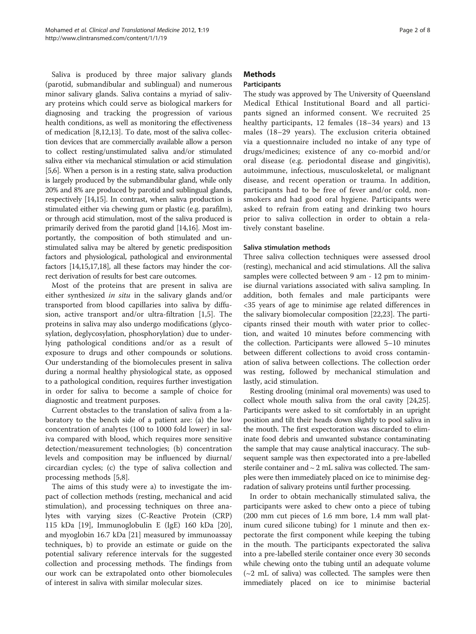Saliva is produced by three major salivary glands (parotid, submandibular and sublingual) and numerous minor salivary glands. Saliva contains a myriad of salivary proteins which could serve as biological markers for diagnosing and tracking the progression of various health conditions, as well as monitoring the effectiveness of medication [[8](#page-6-0),[12](#page-6-0),[13](#page-6-0)]. To date, most of the saliva collection devices that are commercially available allow a person to collect resting/unstimulated saliva and/or stimulated saliva either via mechanical stimulation or acid stimulation [[5,6](#page-6-0)]. When a person is in a resting state, saliva production is largely produced by the submandibular gland, while only 20% and 8% are produced by parotid and sublingual glands, respectively [[14,15\]](#page-6-0). In contrast, when saliva production is stimulated either via chewing gum or plastic (e.g. parafilm), or through acid stimulation, most of the saliva produced is primarily derived from the parotid gland [\[14,16\]](#page-6-0). Most importantly, the composition of both stimulated and unstimulated saliva may be altered by genetic predisposition factors and physiological, pathological and environmental factors [[14,15,17,18](#page-6-0)], all these factors may hinder the correct derivation of results for best care outcomes.

Most of the proteins that are present in saliva are either synthesized in situ in the salivary glands and/or transported from blood capillaries into saliva by diffusion, active transport and/or ultra-filtration [[1,5\]](#page-6-0). The proteins in saliva may also undergo modifications (glycosylation, deglycosylation, phosphorylation) due to underlying pathological conditions and/or as a result of exposure to drugs and other compounds or solutions. Our understanding of the biomolecules present in saliva during a normal healthy physiological state, as opposed to a pathological condition, requires further investigation in order for saliva to become a sample of choice for diagnostic and treatment purposes.

Current obstacles to the translation of saliva from a laboratory to the bench side of a patient are: (a) the low concentration of analytes (100 to 1000 fold lower) in saliva compared with blood, which requires more sensitive detection/measurement technologies; (b) concentration levels and composition may be influenced by diurnal/ circardian cycles; (c) the type of saliva collection and processing methods [[5,8\]](#page-6-0).

The aims of this study were a) to investigate the impact of collection methods (resting, mechanical and acid stimulation), and processing techniques on three analytes with varying sizes (C-Reactive Protein (CRP) 115 kDa [\[19](#page-6-0)], Immunoglobulin E (IgE) 160 kDa [\[20](#page-6-0)], and myoglobin 16.7 kDa [[21\]](#page-6-0) measured by immunoassay techniques, b) to provide an estimate or guide on the potential salivary reference intervals for the suggested collection and processing methods. The findings from our work can be extrapolated onto other biomolecules of interest in saliva with similar molecular sizes.

# **Methods**

### **Participants**

The study was approved by The University of Queensland Medical Ethical Institutional Board and all participants signed an informed consent. We recruited 25 healthy participants, 12 females (18–34 years) and 13 males (18–29 years). The exclusion criteria obtained via a questionnaire included no intake of any type of drugs/medicines; existence of any co-morbid and/or oral disease (e.g. periodontal disease and gingivitis), autoimmune, infectious, musculoskeletal, or malignant disease, and recent operation or trauma. In addition, participants had to be free of fever and/or cold, nonsmokers and had good oral hygiene. Participants were asked to refrain from eating and drinking two hours prior to saliva collection in order to obtain a relatively constant baseline.

### Saliva stimulation methods

Three saliva collection techniques were assessed drool (resting), mechanical and acid stimulations. All the saliva samples were collected between 9 am - 12 pm to minimise diurnal variations associated with saliva sampling. In addition, both females and male participants were <35 years of age to minimise age related differences in the salivary biomolecular composition [[22,23\]](#page-6-0). The participants rinsed their mouth with water prior to collection, and waited 10 minutes before commencing with the collection. Participants were allowed 5–10 minutes between different collections to avoid cross contamination of saliva between collections. The collection order was resting, followed by mechanical stimulation and lastly, acid stimulation.

Resting drooling (minimal oral movements) was used to collect whole mouth saliva from the oral cavity [\[24,25](#page-6-0)]. Participants were asked to sit comfortably in an upright position and tilt their heads down slightly to pool saliva in the mouth. The first expectoration was discarded to eliminate food debris and unwanted substance contaminating the sample that may cause analytical inaccuracy. The subsequent sample was then expectorated into a pre-labelled sterile container and  $\sim$  2 mL saliva was collected. The samples were then immediately placed on ice to minimise degradation of salivary proteins until further processing.

In order to obtain mechanically stimulated saliva, the participants were asked to chew onto a piece of tubing (200 mm cut pieces of 1.6 mm bore, 1.4 mm wall platinum cured silicone tubing) for 1 minute and then expectorate the first component while keeping the tubing in the mouth. The participants expectorated the saliva into a pre-labelled sterile container once every 30 seconds while chewing onto the tubing until an adequate volume  $\sim$ 2 mL of saliva) was collected. The samples were then immediately placed on ice to minimise bacterial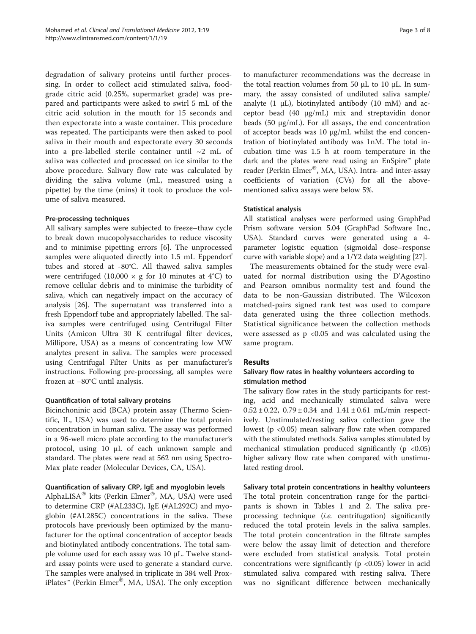degradation of salivary proteins until further processing. In order to collect acid stimulated saliva, foodgrade citric acid (0.25%, supermarket grade) was prepared and participants were asked to swirl 5 mL of the citric acid solution in the mouth for 15 seconds and then expectorate into a waste container. This procedure was repeated. The participants were then asked to pool saliva in their mouth and expectorate every 30 seconds into a pre-labelled sterile container until ~2 mL of saliva was collected and processed on ice similar to the above procedure. Salivary flow rate was calculated by dividing the saliva volume (mL, measured using a pipette) by the time (mins) it took to produce the volume of saliva measured.

### Pre-processing techniques

All salivary samples were subjected to freeze–thaw cycle to break down mucopolysaccharides to reduce viscosity and to minimise pipetting errors [\[6](#page-6-0)]. The unprocessed samples were aliquoted directly into 1.5 mL Eppendorf tubes and stored at -80°C. All thawed saliva samples were centrifuged  $(10,000 \times g)$  for 10 minutes at 4°C) to remove cellular debris and to minimise the turbidity of saliva, which can negatively impact on the accuracy of analysis [[26\]](#page-6-0). The supernatant was transferred into a fresh Eppendorf tube and appropriately labelled. The saliva samples were centrifuged using Centrifugal Filter Units (Amicon Ultra 30 K centrifugal filter devices, Millipore, USA) as a means of concentrating low MW analytes present in saliva. The samples were processed using Centrifugal Filter Units as per manufacturer's instructions. Following pre-processing, all samples were frozen at −80°C until analysis.

### Quantification of total salivary proteins

Bicinchoninic acid (BCA) protein assay (Thermo Scientific, IL, USA) was used to determine the total protein concentration in human saliva. The assay was performed in a 96-well micro plate according to the manufacturer's protocol, using 10 μL of each unknown sample and standard. The plates were read at 562 nm using Spectro-Max plate reader (Molecular Devices, CA, USA).

### Quantification of salivary CRP, IgE and myoglobin levels

AlphaLISA<sup>®</sup> kits (Perkin Elmer<sup>®</sup>, MA, USA) were used to determine CRP (#AL233C), IgE (#AL292C) and myoglobin (#AL285C) concentrations in the saliva. These protocols have previously been optimized by the manufacturer for the optimal concentration of acceptor beads and biotinylated antibody concentrations. The total sample volume used for each assay was 10 μL. Twelve standard assay points were used to generate a standard curve. The samples were analysed in triplicate in 384 well ProxiPlates™ (Perkin Elmer®, MA, USA). The only exception to manufacturer recommendations was the decrease in the total reaction volumes from 50 μL to 10 μL. In summary, the assay consisted of undiluted saliva sample/ analyte  $(1 \mu L)$ , biotinylated antibody  $(10 \mu M)$  and acceptor bead (40 μg/mL) mix and streptavidin donor beads (50 μg/mL). For all assays, the end concentration of acceptor beads was 10 μg/mL whilst the end concentration of biotinylated antibody was 1nM. The total incubation time was 1.5 h at room temperature in the dark and the plates were read using an EnSpire™ plate reader (Perkin Elmer<sup>®</sup>, MA, USA). Intra- and inter-assay coefficients of variation (CVs) for all the abovementioned saliva assays were below 5%.

### Statistical analysis

All statistical analyses were performed using GraphPad Prism software version 5.04 (GraphPad Software Inc., USA). Standard curves were generated using a 4 parameter logistic equation (sigmoidal dose–response curve with variable slope) and a 1/Y2 data weighting [\[27\]](#page-7-0).

The measurements obtained for the study were evaluated for normal distribution using the D'Agostino and Pearson omnibus normality test and found the data to be non-Gaussian distributed. The Wilcoxon matched-pairs signed rank test was used to compare data generated using the three collection methods. Statistical significance between the collection methods were assessed as  $p < 0.05$  and was calculated using the same program.

### Results

### Salivary flow rates in healthy volunteers according to stimulation method

The salivary flow rates in the study participants for resting, acid and mechanically stimulated saliva were  $0.52 \pm 0.22$ ,  $0.79 \pm 0.34$  and  $1.41 \pm 0.61$  mL/min respectively. Unstimulated/resting saliva collection gave the lowest (p <0.05) mean salivary flow rate when compared with the stimulated methods. Saliva samples stimulated by mechanical stimulation produced significantly ( $p \le 0.05$ ) higher salivary flow rate when compared with unstimulated resting drool.

# Salivary total protein concentrations in healthy volunteers

The total protein concentration range for the participants is shown in Tables [1](#page-3-0) and [2](#page-3-0). The saliva preprocessing technique (i.e. centrifugation) significantly reduced the total protein levels in the saliva samples. The total protein concentration in the filtrate samples were below the assay limit of detection and therefore were excluded from statistical analysis. Total protein concentrations were significantly ( $p \lt 0.05$ ) lower in acid stimulated saliva compared with resting saliva. There was no significant difference between mechanically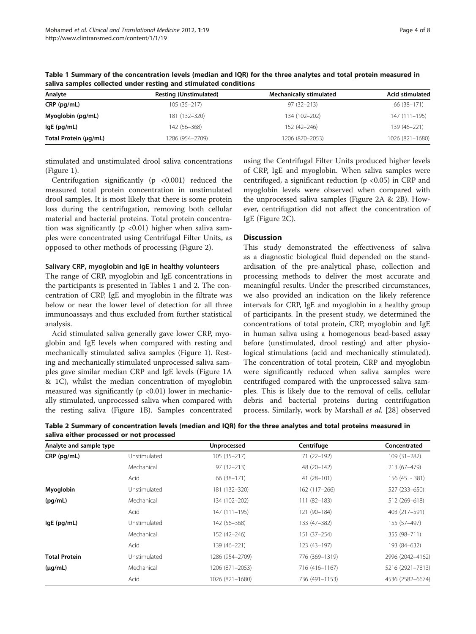| Analyte               | <b>Resting (Unstimulated)</b> | <b>Mechanically stimulated</b> | Acid stimulated |  |
|-----------------------|-------------------------------|--------------------------------|-----------------|--|
| CRP (pg/mL)           | $105(35 - 217)$               | $97(32 - 213)$                 | 66 (38-171)     |  |
| Myoglobin (pg/mL)     | 181 (132-320)                 | 134 (102-202)                  | 147 (111-195)   |  |
| lgE (pg/mL)           | 142 (56-368)                  | 152 (42-246)                   | 139 (46-221)    |  |
| Total Protein (µg/mL) | 1286 (954–2709)               | 1206 (870-2053)                | 1026 (821-1680) |  |

<span id="page-3-0"></span>Table 1 Summary of the concentration levels (median and IQR) for the three analytes and total protein measured in saliva samples collected under resting and stimulated conditions

stimulated and unstimulated drool saliva concentrations (Figure [1](#page-4-0)).

Centrifugation significantly ( $p \leq 0.001$ ) reduced the measured total protein concentration in unstimulated drool samples. It is most likely that there is some protein loss during the centrifugation, removing both cellular material and bacterial proteins. Total protein concentration was significantly ( $p \le 0.01$ ) higher when saliva samples were concentrated using Centrifugal Filter Units, as opposed to other methods of processing (Figure [2](#page-5-0)).

### Salivary CRP, myoglobin and IgE in healthy volunteers

The range of CRP, myoglobin and IgE concentrations in the participants is presented in Tables 1 and 2. The concentration of CRP, IgE and myoglobin in the filtrate was below or near the lower level of detection for all three immunoassays and thus excluded from further statistical analysis.

Acid stimulated saliva generally gave lower CRP, myoglobin and IgE levels when compared with resting and mechanically stimulated saliva samples (Figure [1\)](#page-4-0). Resting and mechanically stimulated unprocessed saliva samples gave similar median CRP and IgE levels (Figure [1A](#page-4-0) & [1C](#page-4-0)), whilst the median concentration of myoglobin measured was significantly ( $p$  <0.01) lower in mechanically stimulated, unprocessed saliva when compared with the resting saliva (Figure [1B](#page-4-0)). Samples concentrated

using the Centrifugal Filter Units produced higher levels of CRP, IgE and myoglobin. When saliva samples were centrifuged, a significant reduction (p <0.05) in CRP and myoglobin levels were observed when compared with the unprocessed saliva samples (Figure [2A](#page-5-0) & [2B\)](#page-5-0). However, centrifugation did not affect the concentration of IgE (Figure [2C\)](#page-5-0).

## **Discussion**

This study demonstrated the effectiveness of saliva as a diagnostic biological fluid depended on the standardisation of the pre-analytical phase, collection and processing methods to deliver the most accurate and meaningful results. Under the prescribed circumstances, we also provided an indication on the likely reference intervals for CRP, IgE and myoglobin in a healthy group of participants. In the present study, we determined the concentrations of total protein, CRP, myoglobin and IgE in human saliva using a homogenous bead-based assay before (unstimulated, drool resting) and after physiological stimulations (acid and mechanically stimulated). The concentration of total protein, CRP and myoglobin were significantly reduced when saliva samples were centrifuged compared with the unprocessed saliva samples. This is likely due to the removal of cells, cellular debris and bacterial proteins during centrifugation process. Similarly, work by Marshall et al. [[28](#page-7-0)] observed

| Analyte and sample type |              | Unprocessed     | Centrifuge     | Concentrated     |
|-------------------------|--------------|-----------------|----------------|------------------|
| CRP (pg/mL)             | Unstimulated | $105(35-217)$   | 71 (22-192)    | $109(31 - 282)$  |
|                         | Mechanical   | $97(32 - 213)$  | 48 (20-142)    | 213 (67-479)     |
|                         | Acid         | 66 (38-171)     | 41 (28-101)    | 156 (45. - 381)  |
| Myoglobin               | Unstimulated | 181 (132-320)   | 162 (117-266)  | 527 (233-650)    |
| (pq/mL)                 | Mechanical   | 134 (102-202)   | 111 (82-183)   | 512 (269-618)    |
|                         | Acid         | 147 (111-195)   | 121 (90-184)   | 403 (217-591)    |
| $lgE$ (pg/mL)           | Unstimulated | 142 (56-368)    | 133 (47-382)   | 155 (57-497)     |
|                         | Mechanical   | 152 (42-246)    | 151 (37-254)   | 355 (98-711)     |
|                         | Acid         | 139 (46-221)    | 123 (43-197)   | 193 (84-632)     |
| <b>Total Protein</b>    | Unstimulated | 1286 (954–2709) | 776 (369-1319) | 2996 (2042-4162) |
| $(\mu g/mL)$            | Mechanical   | 1206 (871-2053) | 716 (416–1167) | 5216 (2921-7813) |
|                         | Acid         | 1026 (821-1680) | 736 (491-1153) | 4536 (2582-6674) |

Table 2 Summary of concentration levels (median and IQR) for the three analytes and total proteins measured in saliva either processed or not processed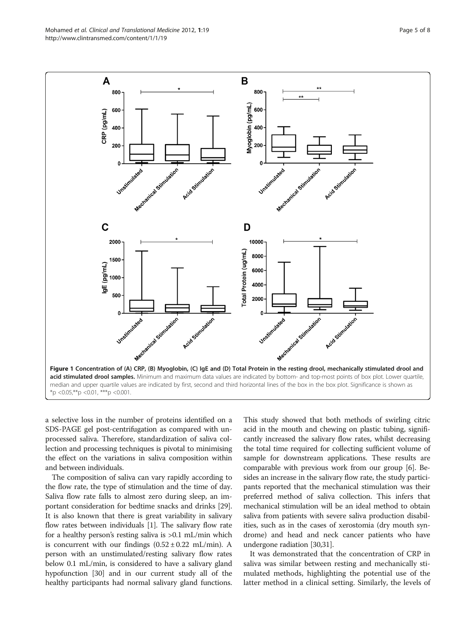<span id="page-4-0"></span>

a selective loss in the number of proteins identified on a SDS-PAGE gel post-centrifugation as compared with unprocessed saliva. Therefore, standardization of saliva collection and processing techniques is pivotal to minimising the effect on the variations in saliva composition within and between individuals.

The composition of saliva can vary rapidly according to the flow rate, the type of stimulation and the time of day. Saliva flow rate falls to almost zero during sleep, an important consideration for bedtime snacks and drinks [[29](#page-7-0)]. It is also known that there is great variability in salivary flow rates between individuals [\[1](#page-6-0)]. The salivary flow rate for a healthy person's resting saliva is >0.1 mL/min which is concurrent with our findings  $(0.52 \pm 0.22 \text{ mL/min})$ . A person with an unstimulated/resting salivary flow rates below 0.1 mL/min, is considered to have a salivary gland hypofunction [\[30\]](#page-7-0) and in our current study all of the healthy participants had normal salivary gland functions.

This study showed that both methods of swirling citric acid in the mouth and chewing on plastic tubing, significantly increased the salivary flow rates, whilst decreasing the total time required for collecting sufficient volume of sample for downstream applications. These results are comparable with previous work from our group [\[6\]](#page-6-0). Besides an increase in the salivary flow rate, the study participants reported that the mechanical stimulation was their preferred method of saliva collection. This infers that mechanical stimulation will be an ideal method to obtain saliva from patients with severe saliva production disabilities, such as in the cases of xerostomia (dry mouth syndrome) and head and neck cancer patients who have undergone radiation [\[30,31\]](#page-7-0).

It was demonstrated that the concentration of CRP in saliva was similar between resting and mechanically stimulated methods, highlighting the potential use of the latter method in a clinical setting. Similarly, the levels of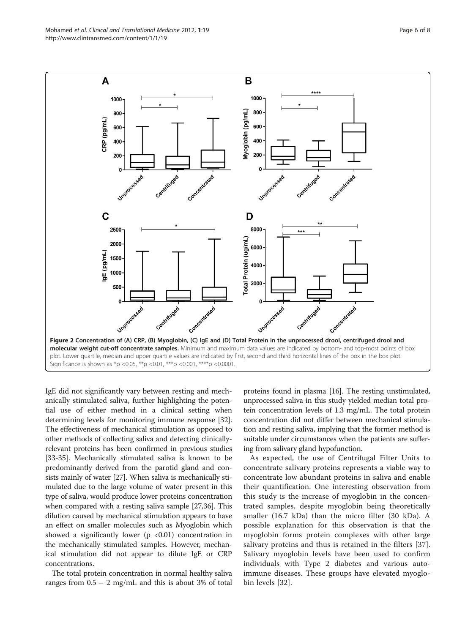<span id="page-5-0"></span>

IgE did not significantly vary between resting and mechanically stimulated saliva, further highlighting the potential use of either method in a clinical setting when determining levels for monitoring immune response [[32](#page-7-0)]. The effectiveness of mechanical stimulation as opposed to other methods of collecting saliva and detecting clinicallyrelevant proteins has been confirmed in previous studies [[33](#page-7-0)-[35](#page-7-0)]. Mechanically stimulated saliva is known to be predominantly derived from the parotid gland and consists mainly of water [[27](#page-7-0)]. When saliva is mechanically stimulated due to the large volume of water present in this type of saliva, would produce lower proteins concentration when compared with a resting saliva sample [\[27,36](#page-7-0)]. This dilution caused by mechanical stimulation appears to have an effect on smaller molecules such as Myoglobin which showed a significantly lower ( $p < 0.01$ ) concentration in the mechanically stimulated samples. However, mechanical stimulation did not appear to dilute IgE or CRP concentrations.

The total protein concentration in normal healthy saliva ranges from  $0.5 - 2$  mg/mL and this is about 3% of total

proteins found in plasma [\[16\]](#page-6-0). The resting unstimulated, unprocessed saliva in this study yielded median total protein concentration levels of 1.3 mg/mL. The total protein concentration did not differ between mechanical stimulation and resting saliva, implying that the former method is suitable under circumstances when the patients are suffering from salivary gland hypofunction.

As expected, the use of Centrifugal Filter Units to concentrate salivary proteins represents a viable way to concentrate low abundant proteins in saliva and enable their quantification. One interesting observation from this study is the increase of myoglobin in the concentrated samples, despite myoglobin being theoretically smaller (16.7 kDa) than the micro filter (30 kDa). A possible explanation for this observation is that the myoglobin forms protein complexes with other large salivary proteins and thus is retained in the filters [\[37](#page-7-0)]. Salivary myoglobin levels have been used to confirm individuals with Type 2 diabetes and various autoimmune diseases. These groups have elevated myoglobin levels [\[32](#page-7-0)].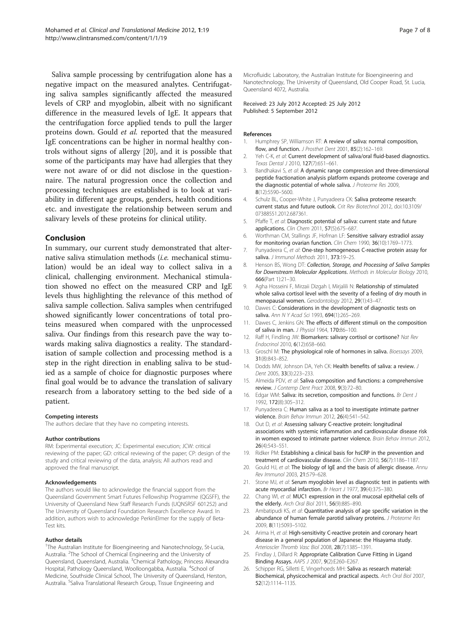<span id="page-6-0"></span>Saliva sample processing by centrifugation alone has a negative impact on the measured analytes. Centrifugating saliva samples significantly affected the measured levels of CRP and myoglobin, albeit with no significant difference in the measured levels of IgE. It appears that the centrifugation force applied tends to pull the larger proteins down. Gould et al. reported that the measured IgE concentrations can be higher in normal healthy controls without signs of allergy [20], and it is possible that some of the participants may have had allergies that they were not aware of or did not disclose in the questionnaire. The natural progression once the collection and processing techniques are established is to look at variability in different age groups, genders, health conditions etc. and investigate the relationship between serum and salivary levels of these proteins for clinical utility.

### Conclusion

In summary, our current study demonstrated that alternative saliva stimulation methods (i.e. mechanical stimulation) would be an ideal way to collect saliva in a clinical, challenging environment. Mechanical stimulation showed no effect on the measured CRP and IgE levels thus highlighting the relevance of this method of saliva sample collection. Saliva samples when centrifuged showed significantly lower concentrations of total proteins measured when compared with the unprocessed saliva. Our findings from this research pave the way towards making saliva diagnostics a reality. The standardisation of sample collection and processing method is a step in the right direction in enabling saliva to be studied as a sample of choice for diagnostic purposes where final goal would be to advance the translation of salivary research from a laboratory setting to the bed side of a patient.

### Competing interests

The authors declare that they have no competing interests.

#### Author contributions

RM: Experimental execution; JC: Experimental execution; JCW: critical reviewing of the paper; GD: critical reviewing of the paper; CP: design of the study and critical reviewing of the data, analysis; All authors read and approved the final manuscript.

#### Acknowledgements

The authors would like to acknowledge the financial support from the Queensland Government Smart Futures Fellowship Programme (QGSFF), the University of Queensland New Staff Research Funds (UQNSRSF 601252) and The University of Queensland Foundation Research Excellence Award. In addition, authors wish to acknowledge PerkinElmer for the supply of Beta-Test kits.

### Author details

<sup>1</sup>The Australian Institute for Bioengineering and Nanotechnology, St-Lucia, Australia. <sup>2</sup>The School of Chemical Engineering and the University of Queensland, Queensland, Australia. <sup>3</sup>Chemical Pathology, Princess Alexandra Hospital, Pathology Queensland, Woolloongabba, Australia. <sup>4</sup>School of Medicine, Southside Clinical School, The University of Queensland, Herston, Australia. <sup>5</sup>Saliva Translational Research Group, Tissue Engineering and

Microfluidic Laboratory, the Australian Institute for Bioengineering and Nanotechnology, The University of Queensland, Old Cooper Road, St. Lucia, Queensland 4072, Australia.

### Received: 23 July 2012 Accepted: 25 July 2012 Published: 5 September 2012

### References

- 1. Humphrey SP, Williamson RT: A review of saliva: normal composition, flow, and function. J Prosthet Dent 2001, 85(2):162-169.
- 2. Yeh C-K, et al: Current development of saliva/oral fluid-based diagnostics. Texas Dental J 2010, 127(7):651–661.
- Bandhakavi S, et al: A dynamic range compression and three-dimensional peptide fractionation analysis platform expands proteome coverage and the diagnostic potential of whole saliva. J Proteome Res 2009, 8(12):5590–5600.
- 4. Schulz BL, Cooper-White J, Punyadeera CK: Saliva proteome research: current status and future outlook. Crit Rev Biotechnol 2012, doi:[10.3109/](http://dx.doi.org/10.3109/07388551.2012.687361) [07388551.2012.687361.](http://dx.doi.org/10.3109/07388551.2012.687361)
- 5. Pfaffe T, et al: Diagnostic potential of saliva: current state and future applications. Clin Chem 2011, 57(5):675–687.
- 6. Worthman CM, Stallings JF, Hofman LF: Sensitive salivary estradiol assay for monitoring ovarian function. Clin Chem 1990, 36(10):1769-1773.
- 7. Punyadeera C, et al: One-step homogeneous C-reactive protein assay for saliva. J Immunol Methods 2011, 373:19-25.
- 8. Henson BS, Wong DT: Collection, Storage, and Processing of Saliva Samples for Downstream Molecular Applications. Methods in Molecular Biology 2010, 666(Part 1):21–30.
- 9. Agha Hosseini F, Mirzaii Dizgah I, Mirjalili N: Relationship of stimulated whole saliva cortisol level with the severity of a feeling of dry mouth in menopausal women. Gerodontology 2012, 29(1):43–47.
- 10. Dawes C: Considerations in the development of diagnostic tests on saliva. Ann N Y Acad Sci 1993, 694(1):265-269.
- 11. Dawes C, Jenkins GN: The effects of different stimuli on the composition of saliva in man. J Physiol 1964, 170:86–100.
- 12. Raff H, Findling JW: Biomarkers: salivary cortisol or cortisone? Nat Rev Endocrinol 2010, 6(12):658–660.
- 13. Groschl M: The physiological role of hormones in saliva. Bioessays 2009, 31(8):843–852.
- 14. Dodds MW, Johnson DA, Yeh CK: Health benefits of saliva: a review. J Dent 2005, 33(3):223–233.
- 15. Almeida PDV, et al: Saliva composition and functions: a comprehensive review. J Contemp Dent Pract 2008, 9(3):72–80.
- 16. Edgar WM: Saliva: its secretion, composition and functions. Br Dent J 1992, 172(8):305–312.
- 17. Punyadeera C: Human saliva as a tool to investigate intimate partner violence. Brain Behav Immun 2012, 26(4):541–542.
- 18. Out D, et al: Assessing salivary C-reactive protein: longitudinal associations with systemic inflammation and cardiovascular disease risk in women exposed to intimate partner violence. Brain Behav Immun 2012, 26(4):543–551.
- 19. Ridker PM: Establishing a clinical basis for hsCRP in the prevention and treatment of cardiovascular disease. Clin Chem 2010, 56(7):1186-1187
- 20. Gould HJ, et al: The biology of IgE and the basis of allergic disease. Annu Rev Immunol 2003, 21:579–628.
- 21. Stone MJ, et al: Serum myoglobin level as diagnostic test in patients with acute myocardial infarction. Br Heart J 1977, 39(4):375-380.
- 22. Chang WI, et al: MUC1 expression in the oral mucosal epithelial cells of the elderly. Arch Oral Biol 2011, 56(9):885–890.
- 23. Ambatipudi KS, et al: Quantitative analysis of age specific variation in the abundance of human female parotid salivary proteins. J Proteome Res 2009, 8(11):5093–5102.
- 24. Arima H, et al: High-sensitivity C-reactive protein and coronary heart disease in a general population of Japanese: the Hisayama study. Arterioscler Thromb Vasc Biol 2008, 28(7):1385–1391.
- 25. Findlay J, Dillard R: Appropriate Calibration Curve Fitting in Ligand Binding Assays. AAPS J 2007, 9(2):E260–E267.
- 26. Schipper RG, Silletti E, Vingerhoeds MH: Saliva as research material: Biochemical, physicochemical and practical aspects. Arch Oral Biol 2007, 52(12):1114–1135.